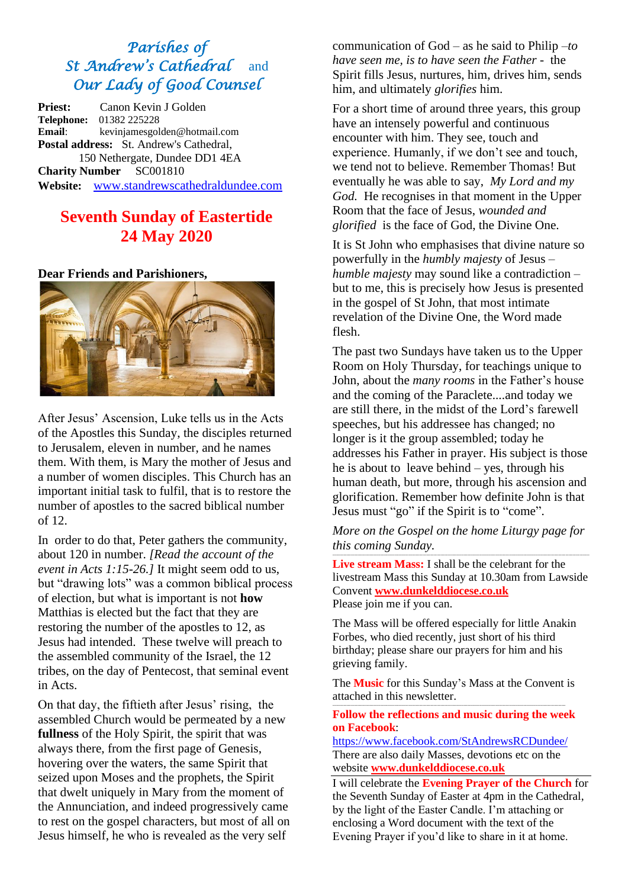# *Parishes of St Andrew's Cathedral* and *Our Lady of Good Counsel*

**Priest:** Canon Kevin J Golden **Telephone:** 01382 225228 **Email**: kevinjamesgolden@hotmail.com **Postal address:** St. Andrew's Cathedral, 150 Nethergate, Dundee DD1 4EA **Charity Number** SC001810 **Website:** [www.standrewscathedraldundee.com](http://www.standrewscathedraldundee.com/)

# **Seventh Sunday of Eastertide 24 May 2020**

**Dear Friends and Parishioners,**



After Jesus' Ascension, Luke tells us in the Acts of the Apostles this Sunday, the disciples returned to Jerusalem, eleven in number, and he names them. With them, is Mary the mother of Jesus and a number of women disciples. This Church has an important initial task to fulfil, that is to restore the number of apostles to the sacred biblical number of 12.

In order to do that, Peter gathers the community, about 120 in number. *[Read the account of the event in Acts 1:15-26.]* It might seem odd to us, but "drawing lots" was a common biblical process of election, but what is important is not **how** Matthias is elected but the fact that they are restoring the number of the apostles to 12, as Jesus had intended. These twelve will preach to the assembled community of the Israel, the 12 tribes, on the day of Pentecost, that seminal event in Acts.

On that day, the fiftieth after Jesus' rising, the assembled Church would be permeated by a new **fullness** of the Holy Spirit, the spirit that was always there, from the first page of Genesis, hovering over the waters, the same Spirit that seized upon Moses and the prophets, the Spirit that dwelt uniquely in Mary from the moment of the Annunciation, and indeed progressively came to rest on the gospel characters, but most of all on Jesus himself, he who is revealed as the very self

communication of God – as he said to Philip –*to have seen me, is to have seen the Father* - the Spirit fills Jesus, nurtures, him, drives him, sends him, and ultimately *glorifies* him.

For a short time of around three years, this group have an intensely powerful and continuous encounter with him. They see, touch and experience. Humanly, if we don't see and touch, we tend not to believe. Remember Thomas! But eventually he was able to say, *My Lord and my God.* He recognises in that moment in the Upper Room that the face of Jesus, *wounded and glorified* is the face of God, the Divine One.

It is St John who emphasises that divine nature so powerfully in the *humbly majesty* of Jesus – *humble majesty* may sound like a contradiction – but to me, this is precisely how Jesus is presented in the gospel of St John, that most intimate revelation of the Divine One, the Word made flesh.

The past two Sundays have taken us to the Upper Room on Holy Thursday, for teachings unique to John, about the *many rooms* in the Father's house and the coming of the Paraclete....and today we are still there, in the midst of the Lord's farewell speeches, but his addressee has changed; no longer is it the group assembled; today he addresses his Father in prayer. His subject is those he is about to leave behind – yes, through his human death, but more, through his ascension and glorification. Remember how definite John is that Jesus must "go" if the Spirit is to "come".

*More on the Gospel on the home Liturgy page for this coming Sunday.* ---------------------------------------------------------------------------------------------------------------------------------------------------------------------------------------

**Live stream Mass:** I shall be the celebrant for the livestream Mass this Sunday at 10.30am from Lawside Convent **[www.dunkelddiocese.co.uk](http://www.dunkelddiocese.co.uk/)** Please join me if you can.

The Mass will be offered especially for little Anakin Forbes, who died recently, just short of his third birthday; please share our prayers for him and his grieving family.

The **Music** for this Sunday's Mass at the Convent is attached in this newsletter.

---------------------------------------------------------------------------------------------------------------------------------------------------------------------- **Follow the reflections and music during the week on Facebook**:

<https://www.facebook.com/StAndrewsRCDundee/> There are also daily Masses, devotions etc on the website **[www.dunkelddiocese.co.uk](http://www.dunkelddiocese.co.uk/)**

I will celebrate the **Evening Prayer of the Church** for the Seventh Sunday of Easter at 4pm in the Cathedral, by the light of the Easter Candle. I'm attaching or enclosing a Word document with the text of the Evening Prayer if you'd like to share in it at home.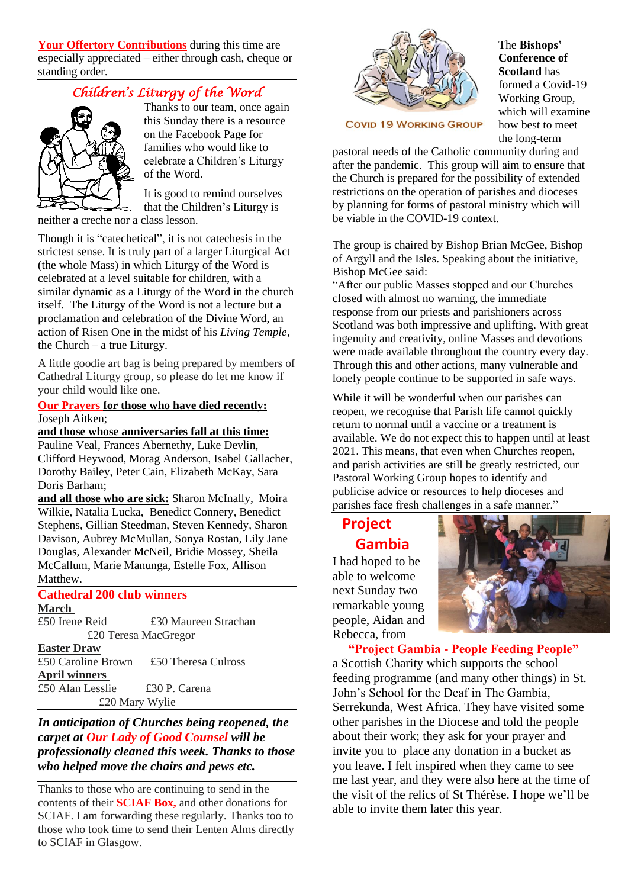**Your Offertory Contributions** during this time are especially appreciated – either through cash, cheque or standing order.

# *Children's Liturgy of the Word*



Thanks to our team, once again this Sunday there is a resource on the Facebook Page for families who would like to celebrate a Children's Liturgy of the Word.

It is good to remind ourselves that the Children's Liturgy is

neither a creche nor a class lesson.

Though it is "catechetical", it is not catechesis in the strictest sense. It is truly part of a larger Liturgical Act (the whole Mass) in which Liturgy of the Word is celebrated at a level suitable for children, with a similar dynamic as a Liturgy of the Word in the church itself. The Liturgy of the Word is not a lecture but a proclamation and celebration of the Divine Word, an action of Risen One in the midst of his *Living Temple,* the Church – a true Liturgy.

A little goodie art bag is being prepared by members of Cathedral Liturgy group, so please do let me know if your child would like one.

**Our Prayers for those who have died recently:** Joseph Aitken;

## **and those whose anniversaries fall at this time:**

Pauline Veal, Frances Abernethy, Luke Devlin, Clifford Heywood, Morag Anderson, Isabel Gallacher, Dorothy Bailey, Peter Cain, Elizabeth McKay, Sara Doris Barham;

**and all those who are sick:** Sharon McInally, Moira Wilkie, Natalia Lucka, Benedict Connery, Benedict Stephens, Gillian Steedman, Steven Kennedy, Sharon Davison, Aubrey McMullan, Sonya Rostan, Lily Jane Douglas, Alexander McNeil, Bridie Mossey, Sheila McCallum, Marie Manunga, Estelle Fox, Allison Matthew.

# **Cathedral 200 club winners**

**March**

£50 Irene Reid £30 Maureen Strachan £20 Teresa MacGregor **Easter Draw**

£50 Caroline Brown £50 Theresa Culross **April winners** £50 Alan Lesslie £30 P. Carena £20 Mary Wylie

## *In anticipation of Churches being reopened, the carpet at Our Lady of Good Counsel will be professionally cleaned this week. Thanks to those who helped move the chairs and pews etc.*

Thanks to those who are continuing to send in the contents of their **SCIAF Box,** and other donations for SCIAF. I am forwarding these regularly. Thanks too to those who took time to send their Lenten Alms directly to SCIAF in Glasgow.



#### The **Bishops' Conference of Scotland** has formed a Covid-19 Working Group, which will examine how best to meet the long-term

**COVID 19 WORKING GROUP** 

pastoral needs of the Catholic community during and after the pandemic. This group will aim to ensure that the Church is prepared for the possibility of extended restrictions on the operation of parishes and dioceses by planning for forms of pastoral ministry which will be viable in the COVID-19 context.

The group is chaired by Bishop Brian McGee, Bishop of Argyll and the Isles. Speaking about the initiative, Bishop McGee said:

"After our public Masses stopped and our Churches closed with almost no warning, the immediate response from our priests and parishioners across Scotland was both impressive and uplifting. With great ingenuity and creativity, online Masses and devotions were made available throughout the country every day. Through this and other actions, many vulnerable and lonely people continue to be supported in safe ways.

While it will be wonderful when our parishes can reopen, we recognise that Parish life cannot quickly return to normal until a vaccine or a treatment is available. We do not expect this to happen until at least 2021. This means, that even when Churches reopen, and parish activities are still be greatly restricted, our Pastoral Working Group hopes to identify and publicise advice or resources to help dioceses and parishes face fresh challenges in a safe manner."

# **Project Gambia**

I had hoped to be able to welcome next Sunday two remarkable young people, Aidan and Rebecca, from



 **"Project Gambia - People Feeding People"** a Scottish Charity which supports the school feeding programme (and many other things) in St. John's School for the Deaf in The Gambia, Serrekunda, West Africa. They have visited some other parishes in the Diocese and told the people about their work; they ask for your prayer and invite you to place any donation in a bucket as you leave. I felt inspired when they came to see me last year, and they were also here at the time of the visit of the relics of St Thérèse. I hope we'll be able to invite them later this year.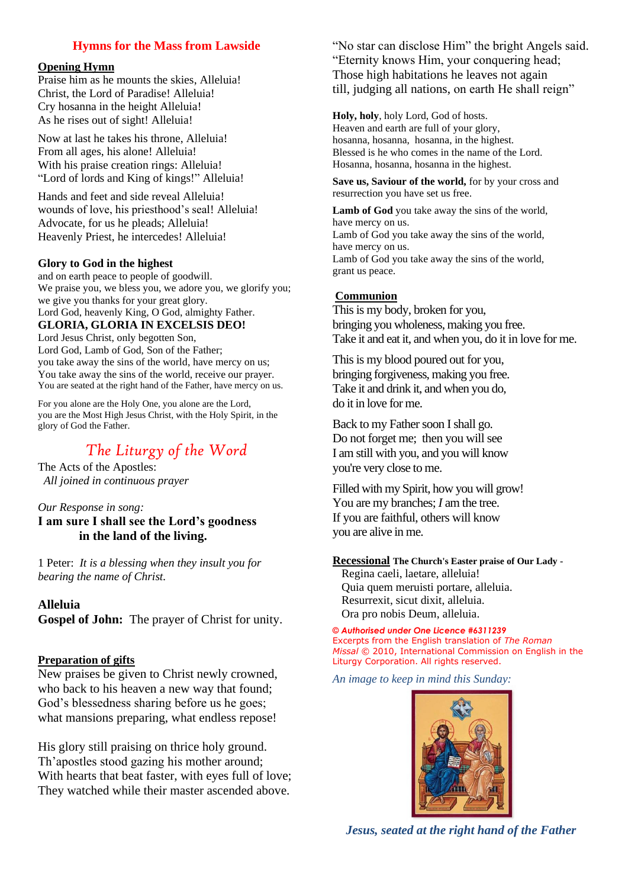# **Hymns for the Mass from Lawside**

#### **Opening Hymn**

Praise him as he mounts the skies, Alleluia! Christ, the Lord of Paradise! Alleluia! Cry hosanna in the height Alleluia! As he rises out of sight! Alleluia!

Now at last he takes his throne, Alleluia! From all ages, his alone! Alleluia! With his praise creation rings: Alleluia! "Lord of lords and King of kings!" Alleluia!

Hands and feet and side reveal Alleluia! wounds of love, his priesthood's seal! Alleluia! Advocate, for us he pleads; Alleluia! Heavenly Priest, he intercedes! Alleluia!

#### **Glory to God in the highest**

and on earth peace to people of goodwill. We praise you, we bless you, we adore you, we glorify you; we give you thanks for your great glory. Lord God, heavenly King, O God, almighty Father. **GLORIA, GLORIA IN EXCELSIS DEO!** 

Lord Jesus Christ, only begotten Son, Lord God, Lamb of God, Son of the Father; you take away the sins of the world, have mercy on us; You take away the sins of the world, receive our prayer. You are seated at the right hand of the Father, have mercy on us.

For you alone are the Holy One, you alone are the Lord, you are the Most High Jesus Christ, with the Holy Spirit, in the glory of God the Father.

# *The Liturgy of the Word*

The Acts of the Apostles:  *All joined in continuous prayer*

#### *Our Response in song:* **I am sure I shall see the Lord's goodness in the land of the living.**

1 Peter: *It is a blessing when they insult you for bearing the name of Christ.*

# **Alleluia**

**Gospel of John:** The prayer of Christ for unity.

### **Preparation of gifts**

New praises be given to Christ newly crowned, who back to his heaven a new way that found; God's blessedness sharing before us he goes; what mansions preparing, what endless repose!

His glory still praising on thrice holy ground. Th'apostles stood gazing his mother around; With hearts that beat faster, with eyes full of love; They watched while their master ascended above.

"No star can disclose Him" the bright Angels said. "Eternity knows Him, your conquering head; Those high habitations he leaves not again till, judging all nations, on earth He shall reign"

**Holy, holy**, holy Lord, God of hosts. Heaven and earth are full of your glory, hosanna, hosanna, hosanna, in the highest. Blessed is he who comes in the name of the Lord. Hosanna, hosanna, hosanna in the highest.

**Save us, Saviour of the world,** for by your cross and resurrection you have set us free.

**Lamb of God** you take away the sins of the world, have mercy on us. Lamb of God you take away the sins of the world, have mercy on us. Lamb of God you take away the sins of the world, grant us peace.

## **Communion**

This is my body, broken for you, bringing you wholeness, making you free. Take it and eat it, and when you, do it in love for me.

This is my blood poured out for you, bringing forgiveness, making you free. Take it and drink it, and when you do, do it in love for me.

Back to my Father soon I shall go. Do not forget me; then you will see I am still with you, and you will know you're very close to me.

Filled with my Spirit, how you will grow! You are my branches: *I* am the tree. If you are faithful, others will know you are alive in me.

#### **Recessional The Church's Easter praise of Our Lady -**

Regina caeli, laetare, alleluia! Quia quem meruisti portare, alleluia. Resurrexit, sicut dixit, alleluia. Ora pro nobis Deum, alleluia.

*© Authorised under One Licence #6311239*  Excerpts from the English translation of *The Roman Missal* © 2010, International Commission on English in the Liturgy Corporation. All rights reserved.

*An image to keep in mind this Sunday:*



*Jesus, seated at the right hand of the Father*